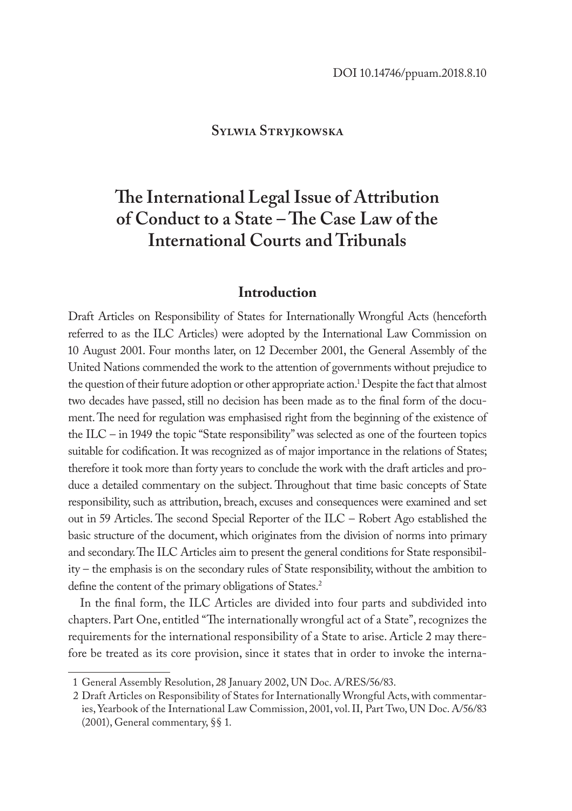## **Sylwia Stryjkowska**

# **The International Legal Issue of Attribution of Conduct to a State – The Case Law of the International Courts and Tribunals**

## **Introduction**

Draft Articles on Responsibility of States for Internationally Wrongful Acts (henceforth referred to as the ILC Articles) were adopted by the International Law Commission on 10 August 2001. Four months later, on 12 December 2001, the General Assembly of the United Nations commended the work to the attention of governments without prejudice to the question of their future adoption or other appropriate action.<sup>1</sup> Despite the fact that almost two decades have passed, still no decision has been made as to the final form of the document. The need for regulation was emphasised right from the beginning of the existence of the ILC – in 1949 the topic "State responsibility" was selected as one of the fourteen topics suitable for codification. It was recognized as of major importance in the relations of States; therefore it took more than forty years to conclude the work with the draft articles and produce a detailed commentary on the subject. Throughout that time basic concepts of State responsibility, such as attribution, breach, excuses and consequences were examined and set out in 59 Articles. The second Special Reporter of the ILC – Robert Ago established the basic structure of the document, which originates from the division of norms into primary and secondary. The ILC Articles aim to present the general conditions for State responsibility – the emphasis is on the secondary rules of State responsibility, without the ambition to define the content of the primary obligations of States.<sup>2</sup>

In the final form, the ILC Articles are divided into four parts and subdivided into chapters. Part One, entitled "The internationally wrongful act of a State", recognizes the requirements for the international responsibility of a State to arise. Article 2 may therefore be treated as its core provision, since it states that in order to invoke the interna-

<sup>1</sup> General Assembly Resolution, 28 January 2002, UN Doc. A/RES/56/83.

<sup>2</sup> Draft Articles on Responsibility of States for Internationally Wrongful Acts, with commentaries, Yearbook of the International Law Commission, 2001, vol. II, Part Two, UN Doc. A/56/83 (2001), General commentary, §§ 1.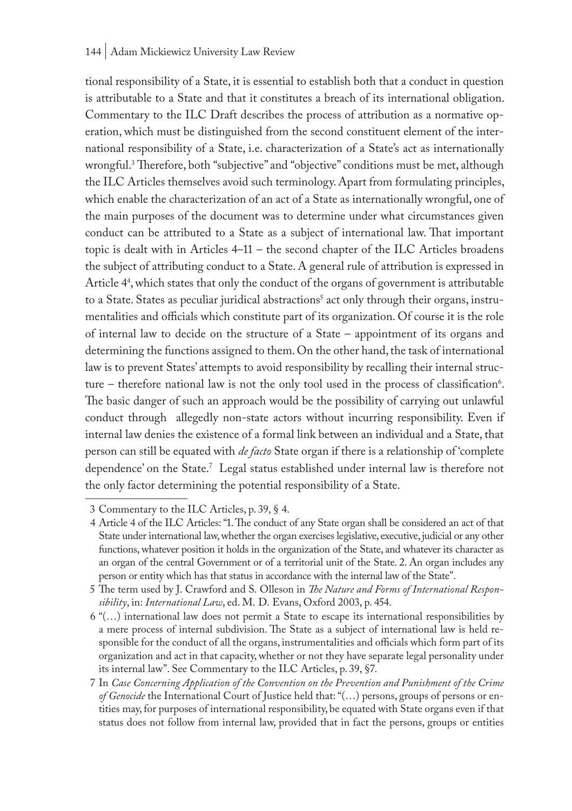tional responsibility of a State, it is essential to establish both that a conduct in question is attributable to a State and that it constitutes a breach of its international obligation. Commentary to the ILC Draft describes the process of attribution as a normative operation, which must be distinguished from the second constituent element of the international responsibility of a State, i.e. characterization of a State's act as internationally wrongful.3 Therefore, both "subjective" and "objective" conditions must be met, although the ILC Articles themselves avoid such terminology. Apart from formulating principles, which enable the characterization of an act of a State as internationally wrongful, one of the main purposes of the document was to determine under what circumstances given conduct can be attributed to a State as a subject of international law. That important topic is dealt with in Articles 4–11 – the second chapter of the ILC Articles broadens the subject of attributing conduct to a State. A general rule of attribution is expressed in Article 44 , which states that only the conduct of the organs of government is attributable to a State. States as peculiar juridical abstractions' act only through their organs, instrumentalities and officials which constitute part of its organization. Of course it is the role of internal law to decide on the structure of a State – appointment of its organs and determining the functions assigned to them. On the other hand, the task of international law is to prevent States' attempts to avoid responsibility by recalling their internal structure – therefore national law is not the only tool used in the process of classification<sup>6</sup>. The basic danger of such an approach would be the possibility of carrying out unlawful conduct through allegedly non-state actors without incurring responsibility. Even if internal law denies the existence of a formal link between an individual and a State, that person can still be equated with *de facto* State organ if there is a relationship of 'complete dependence' on the State.7 Legal status established under internal law is therefore not the only factor determining the potential responsibility of a State.

<sup>3</sup> Commentary to the ILC Articles, p. 39, § 4.

<sup>4</sup> Article 4 of the ILC Articles: "1. The conduct of any State organ shall be considered an act of that State under international law, whether the organ exercises legislative, executive, judicial or any other functions, whatever position it holds in the organization of the State, and whatever its character as an organ of the central Government or of a territorial unit of the State. 2. An organ includes any person or entity which has that status in accordance with the internal law of the State".

<sup>5</sup> The term used by J. Crawford and S. Olleson in *The Nature and Forms of International Responsibility*, in: *International Law*, ed. M. D. Evans, Oxford 2003, p. 454.

<sup>6</sup> "(…) international law does not permit a State to escape its international responsibilities by a mere process of internal subdivision. The State as a subject of international law is held responsible for the conduct of all the organs, instrumentalities and officials which form part of its organization and act in that capacity, whether or not they have separate legal personality under its internal law". See Commentary to the ILC Articles, p. 39, §7.

<sup>7</sup> In *Case Concerning Application of the Convention on the Prevention and Punishment of the Crime of Genocide* the International Court of Justice held that: "(…) persons, groups of persons or entities may, for purposes of international responsibility, be equated with State organs even if that status does not follow from internal law, provided that in fact the persons, groups or entities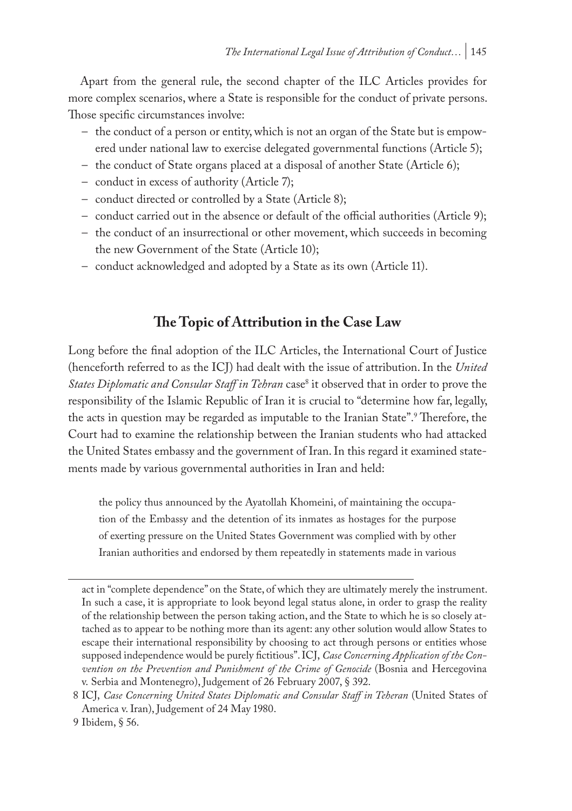Apart from the general rule, the second chapter of the ILC Articles provides for more complex scenarios, where a State is responsible for the conduct of private persons. Those specific circumstances involve:

- the conduct of a person or entity, which is not an organ of the State but is empowered under national law to exercise delegated governmental functions (Article 5);
- the conduct of State organs placed at a disposal of another State (Article 6);
- conduct in excess of authority (Article 7);
- conduct directed or controlled by a State (Article 8);
- conduct carried out in the absence or default of the official authorities (Article 9);
- the conduct of an insurrectional or other movement, which succeeds in becoming the new Government of the State (Article 10);
- conduct acknowledged and adopted by a State as its own (Article 11).

# **The Topic of Attribution in the Case Law**

Long before the final adoption of the ILC Articles, the International Court of Justice (henceforth referred to as the ICJ) had dealt with the issue of attribution. In the *United States Diplomatic and Consular Staff in Tehran* case<sup>8</sup> it observed that in order to prove the responsibility of the Islamic Republic of Iran it is crucial to "determine how far, legally, the acts in question may be regarded as imputable to the Iranian State". Therefore, the Court had to examine the relationship between the Iranian students who had attacked the United States embassy and the government of Iran. In this regard it examined statements made by various governmental authorities in Iran and held:

the policy thus announced by the Ayatollah Khomeini, of maintaining the occupation of the Embassy and the detention of its inmates as hostages for the purpose of exerting pressure on the United States Government was complied with by other Iranian authorities and endorsed by them repeatedly in statements made in various

act in "complete dependence" on the State, of which they are ultimately merely the instrument. In such a case, it is appropriate to look beyond legal status alone, in order to grasp the reality of the relationship between the person taking action, and the State to which he is so closely attached as to appear to be nothing more than its agent: any other solution would allow States to escape their international responsibility by choosing to act through persons or entities whose supposed independence would be purely fictitious". ICJ, *Case Concerning Application of the Con*vention on the Prevention and Punishment of the Crime of Genocide (Bosnia and Hercegovina v. Serbia and Montenegro), Judgement of 26 February 2007, § 392.

<sup>8</sup> ICJ, *Case Concerning United States Diplomatic and Consular Staff in Teheran* (United States of America v. Iran), Judgement of 24 May 1980.

<sup>9</sup> Ibidem, § 56.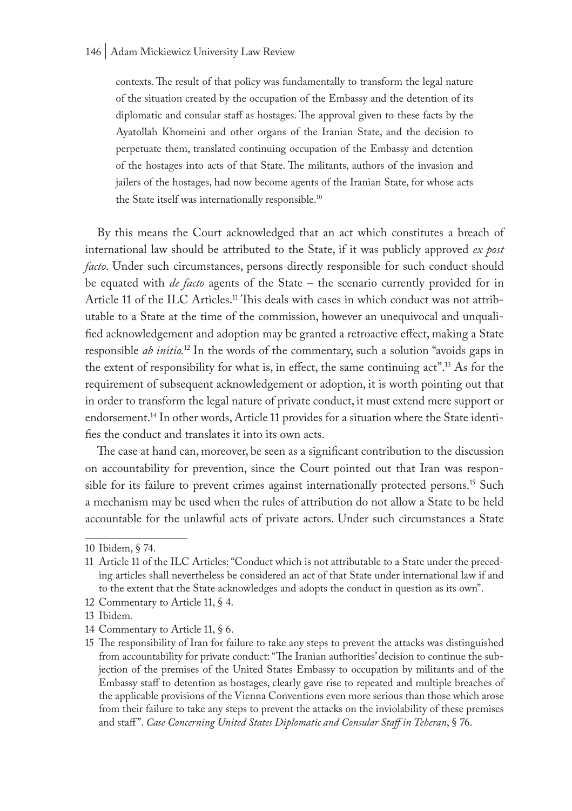contexts. The result of that policy was fundamentally to transform the legal nature of the situation created by the occupation of the Embassy and the detention of its diplomatic and consular staff as hostages. The approval given to these facts by the Ayatollah Khomeini and other organs of the Iranian State, and the decision to perpetuate them, translated continuing occupation of the Embassy and detention of the hostages into acts of that State. The militants, authors of the invasion and jailers of the hostages, had now become agents of the Iranian State, for whose acts the State itself was internationally responsible.<sup>10</sup>

By this means the Court acknowledged that an act which constitutes a breach of international law should be attributed to the State, if it was publicly approved *ex post facto*. Under such circumstances, persons directly responsible for such conduct should be equated with *de facto* agents of the State – the scenario currently provided for in Article 11 of the ILC Articles.<sup>11</sup> This deals with cases in which conduct was not attributable to a State at the time of the commission, however an unequivocal and unqualified acknowledgement and adoption may be granted a retroactive effect, making a State responsible *ab initio.*<sup>12</sup> In the words of the commentary, such a solution "avoids gaps in the extent of responsibility for what is, in effect, the same continuing act".13 As for the requirement of subsequent acknowledgement or adoption, it is worth pointing out that in order to transform the legal nature of private conduct, it must extend mere support or endorsement.<sup>14</sup> In other words, Article 11 provides for a situation where the State identifies the conduct and translates it into its own acts.

The case at hand can, moreover, be seen as a significant contribution to the discussion on accountability for prevention, since the Court pointed out that Iran was responsible for its failure to prevent crimes against internationally protected persons.<sup>15</sup> Such a mechanism may be used when the rules of attribution do not allow a State to be held accountable for the unlawful acts of private actors. Under such circumstances a State

<sup>10</sup> Ibidem, § 74.

<sup>11</sup> Article 11 of the ILC Articles: "Conduct which is not attributable to a State under the preceding articles shall nevertheless be considered an act of that State under international law if and to the extent that the State acknowledges and adopts the conduct in question as its own".

<sup>12</sup> Commentary to Article 11, § 4.

<sup>13</sup> Ibidem*.*

<sup>14</sup> Commentary to Article 11, § 6.

<sup>15</sup> The responsibility of Iran for failure to take any steps to prevent the attacks was distinguished from accountability for private conduct: "The Iranian authorities' decision to continue the subjection of the premises of the United States Embassy to occupation by militants and of the Embassy staff to detention as hostages, clearly gave rise to repeated and multiple breaches of the applicable provisions of the Vienna Conventions even more serious than those which arose from their failure to take any steps to prevent the attacks on the inviolability of these premises and staff ". *Case Concerning United States Diplomatic and Consular Staff in Teheran*, § 76.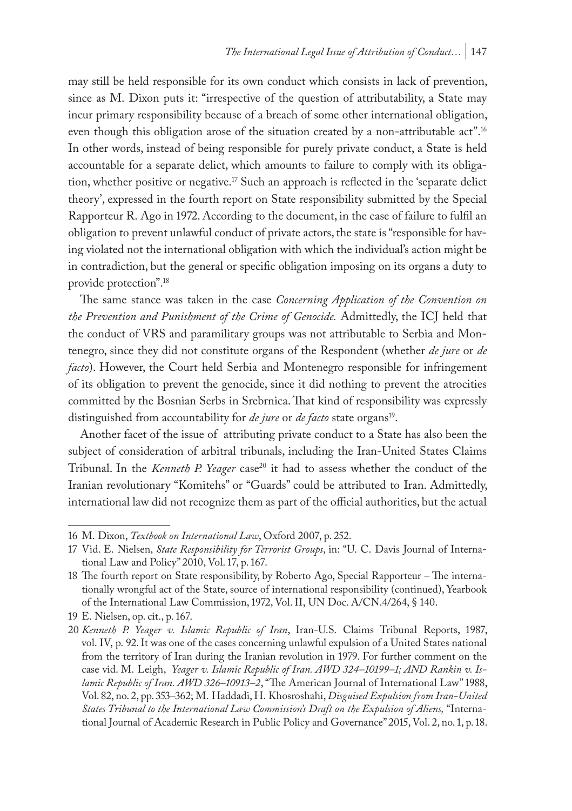may still be held responsible for its own conduct which consists in lack of prevention, since as M. Dixon puts it: "irrespective of the question of attributability, a State may incur primary responsibility because of a breach of some other international obligation, even though this obligation arose of the situation created by a non-attributable act".<sup>16</sup> In other words, instead of being responsible for purely private conduct, a State is held accountable for a separate delict, which amounts to failure to comply with its obligation, whether positive or negative.17 Such an approach is reflected in the 'separate delict theory', expressed in the fourth report on State responsibility submitted by the Special Rapporteur R. Ago in 1972. According to the document, in the case of failure to fulfil an obligation to prevent unlawful conduct of private actors, the state is "responsible for having violated not the international obligation with which the individual's action might be in contradiction, but the general or specific obligation imposing on its organs a duty to provide protection".18

The same stance was taken in the case *Concerning Application of the Convention on the Prevention and Punishment of the Crime of Genocide.* Admittedly, the ICJ held that the conduct of VRS and paramilitary groups was not attributable to Serbia and Montenegro, since they did not constitute organs of the Respondent (whether *de jure* or *de facto*). However, the Court held Serbia and Montenegro responsible for infringement of its obligation to prevent the genocide, since it did nothing to prevent the atrocities committed by the Bosnian Serbs in Srebrnica. That kind of responsibility was expressly distinguished from accountability for *de jure* or *de facto* state organs<sup>19</sup>.

Another facet of the issue of attributing private conduct to a State has also been the subject of consideration of arbitral tribunals, including the Iran-United States Claims Tribunal. In the *Kenneth P. Yeager* case<sup>20</sup> it had to assess whether the conduct of the Iranian revolutionary "Komitehs" or "Guards" could be attributed to Iran. Admittedly, international law did not recognize them as part of the official authorities, but the actual

<sup>16</sup> M. Dixon, *Textbook on International Law*, Oxford 2007, p. 252.

<sup>17</sup> Vid. E. Nielsen, *State Responsibility for Terrorist Groups*, in: "U. C. Davis Journal of International Law and Policy" 2010, Vol. 17, p. 167.

<sup>18</sup> The fourth report on State responsibility, by Roberto Ago, Special Rapporteur – The internationally wrongful act of the State, source of international responsibility (continued), Yearbook of the International Law Commission, 1972, Vol. II, UN Doc. A/CN.4/264, § 140.

<sup>19</sup> E. Nielsen, op. cit., p. 167.

<sup>20</sup> *Kenneth P. Yeager v. Islamic Republic of Iran*, Iran-U.S. Claims Tribunal Reports, 1987, vol. IV, p. 92. It was one of the cases concerning unlawful expulsion of a United States national from the territory of Iran during the Iranian revolution in 1979. For further comment on the case vid. M. Leigh, *Yeager v. Islamic Republic of Iran. AWD 324–10199–1; AND Rankin v. Islamic Republic of Iran. AWD 326–10913–2*, "The American Journal of International Law" 1988, Vol. 82, no. 2, pp. 353–362; M. Haddadi, H. Khosroshahi, *Disguised Expulsion from Iran-United States Tribunal to the International Law Commission's Draft on the Expulsion of Aliens,* "International Journal of Academic Research in Public Policy and Governance" 2015, Vol. 2, no. 1, p. 18.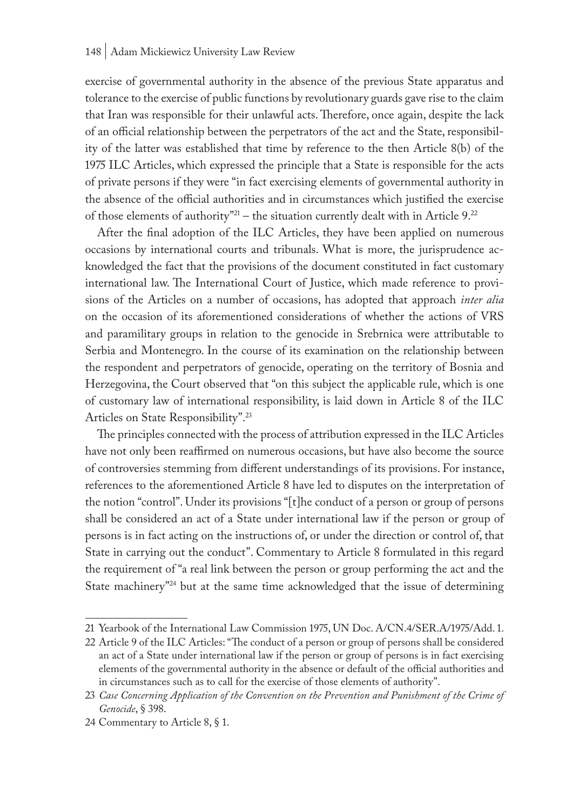exercise of governmental authority in the absence of the previous State apparatus and tolerance to the exercise of public functions by revolutionary guards gave rise to the claim that Iran was responsible for their unlawful acts. Therefore, once again, despite the lack of an official relationship between the perpetrators of the act and the State, responsibility of the latter was established that time by reference to the then Article 8(b) of the 1975 ILC Articles, which expressed the principle that a State is responsible for the acts of private persons if they were "in fact exercising elements of governmental authority in the absence of the official authorities and in circumstances which justified the exercise of those elements of authority"21 – the situation currently dealt with in Article 9.22

After the final adoption of the ILC Articles, they have been applied on numerous occasions by international courts and tribunals. What is more, the jurisprudence acknowledged the fact that the provisions of the document constituted in fact customary international law. The International Court of Justice, which made reference to provisions of the Articles on a number of occasions, has adopted that approach *inter alia* on the occasion of its aforementioned considerations of whether the actions of VRS and paramilitary groups in relation to the genocide in Srebrnica were attributable to Serbia and Montenegro. In the course of its examination on the relationship between the respondent and perpetrators of genocide, operating on the territory of Bosnia and Herzegovina, the Court observed that "on this subject the applicable rule, which is one of customary law of international responsibility, is laid down in Article 8 of the ILC Articles on State Responsibility".23

The principles connected with the process of attribution expressed in the ILC Articles have not only been reaffirmed on numerous occasions, but have also become the source of controversies stemming from different understandings of its provisions. For instance, references to the aforementioned Article 8 have led to disputes on the interpretation of the notion "control". Under its provisions "[t]he conduct of a person or group of persons shall be considered an act of a State under international law if the person or group of persons is in fact acting on the instructions of, or under the direction or control of, that State in carrying out the conduct". Commentary to Article 8 formulated in this regard the requirement of "a real link between the person or group performing the act and the State machinery<sup>724</sup> but at the same time acknowledged that the issue of determining

<sup>21</sup> Yearbook of the International Law Commission 1975, UN Doc. A/CN.4/SER.A/1975/Add. 1.

<sup>22</sup> Article 9 of the ILC Articles: "The conduct of a person or group of persons shall be considered an act of a State under international law if the person or group of persons is in fact exercising elements of the governmental authority in the absence or default of the official authorities and in circumstances such as to call for the exercise of those elements of authority".

<sup>23</sup> *Case Concerning Application of the Convention on the Prevention and Punishment of the Crime of Genocide*, § 398.

<sup>24</sup> Commentary to Article 8, § 1.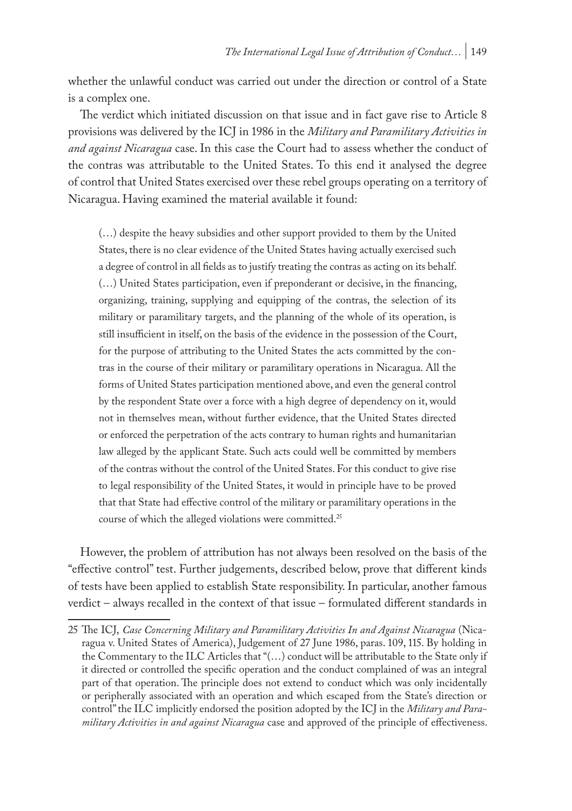whether the unlawful conduct was carried out under the direction or control of a State is a complex one.

The verdict which initiated discussion on that issue and in fact gave rise to Article 8 provisions was delivered by the ICJ in 1986 in the *Military and Paramilitary Activities in and against Nicaragua* case. In this case the Court had to assess whether the conduct of the contras was attributable to the United States. To this end it analysed the degree of control that United States exercised over these rebel groups operating on a territory of Nicaragua. Having examined the material available it found:

(…) despite the heavy subsidies and other support provided to them by the United States, there is no clear evidence of the United States having actually exercised such a degree of control in all fields as to justify treating the contras as acting on its behalf. (…) United States participation, even if preponderant or decisive, in the financing, organizing, training, supplying and equipping of the contras, the selection of its military or paramilitary targets, and the planning of the whole of its operation, is still insufficient in itself, on the basis of the evidence in the possession of the Court, for the purpose of attributing to the United States the acts committed by the contras in the course of their military or paramilitary operations in Nicaragua. All the forms of United States participation mentioned above, and even the general control by the respondent State over a force with a high degree of dependency on it, would not in themselves mean, without further evidence, that the United States directed or enforced the perpetration of the acts contrary to human rights and humanitarian law alleged by the applicant State. Such acts could well be committed by members of the contras without the control of the United States. For this conduct to give rise to legal responsibility of the United States, it would in principle have to be proved that that State had effective control of the military or paramilitary operations in the course of which the alleged violations were committed.25

However, the problem of attribution has not always been resolved on the basis of the "effective control" test. Further judgements, described below, prove that different kinds of tests have been applied to establish State responsibility. In particular, another famous verdict – always recalled in the context of that issue – formulated different standards in

<sup>25</sup> The ICJ, *Case Concerning Military and Paramilitary Activities In and Against Nicaragua* (Nicaragua v. United States of America), Judgement of 27 June 1986, paras. 109, 115. By holding in the Commentary to the ILC Articles that " $(...)$  conduct will be attributable to the State only if it directed or controlled the specific operation and the conduct complained of was an integral part of that operation. The principle does not extend to conduct which was only incidentally or peripherally associated with an operation and which escaped from the State's direction or control" the ILC implicitly endorsed the position adopted by the ICJ in the *Military and Paramilitary Activities in and against Nicaragua* case and approved of the principle of effectiveness.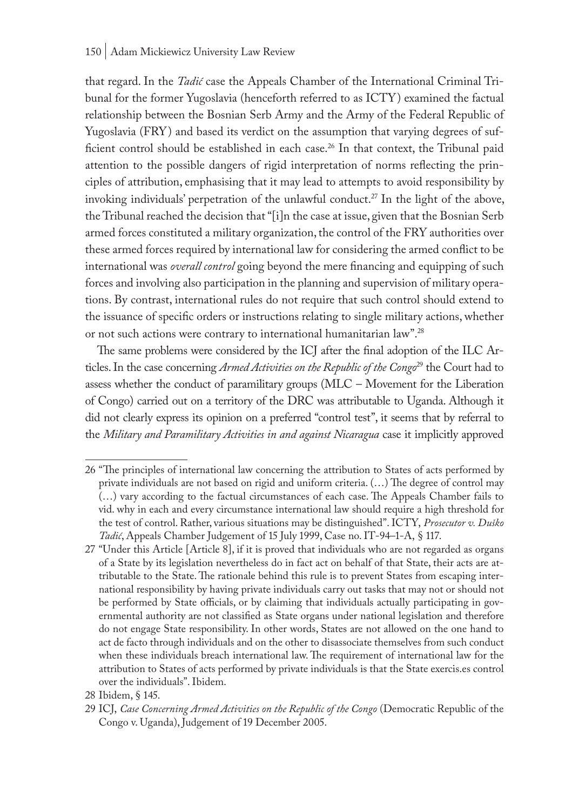that regard. In the *Tadić* case the Appeals Chamber of the International Criminal Tribunal for the former Yugoslavia (henceforth referred to as ICTY) examined the factual relationship between the Bosnian Serb Army and the Army of the Federal Republic of Yugoslavia (FRY) and based its verdict on the assumption that varying degrees of sufficient control should be established in each case.<sup>26</sup> In that context, the Tribunal paid attention to the possible dangers of rigid interpretation of norms reflecting the principles of attribution, emphasising that it may lead to attempts to avoid responsibility by invoking individuals' perpetration of the unlawful conduct.<sup>27</sup> In the light of the above, the Tribunal reached the decision that "[i]n the case at issue, given that the Bosnian Serb armed forces constituted a military organization, the control of the FRY authorities over these armed forces required by international law for considering the armed conflict to be international was *overall control* going beyond the mere financing and equipping of such forces and involving also participation in the planning and supervision of military operations. By contrast, international rules do not require that such control should extend to the issuance of specific orders or instructions relating to single military actions, whether or not such actions were contrary to international humanitarian law".28

The same problems were considered by the ICJ after the final adoption of the ILC Articles. In the case concerning *Armed Activities on the Republic of the Congo*<sup>29</sup> the Court had to assess whether the conduct of paramilitary groups (MLC – Movement for the Liberation of Congo) carried out on a territory of the DRC was attributable to Uganda. Although it did not clearly express its opinion on a preferred "control test", it seems that by referral to the *Military and Paramilitary Activities in and against Nicaragua* case it implicitly approved

<sup>26</sup> "The principles of international law concerning the attribution to States of acts performed by private individuals are not based on rigid and uniform criteria. (…) The degree of control may (…) vary according to the factual circumstances of each case. The Appeals Chamber fails to vid. why in each and every circumstance international law should require a high threshold for the test of control. Rather, various situations may be distinguished". ICTY, *Prosecutor v. Duško Tadić*, Appeals Chamber Judgement of 15 July 1999, Case no. IT-94–1-A, § 117.

<sup>27</sup> "Under this Article [Article 8], if it is proved that individuals who are not regarded as organs of a State by its legislation nevertheless do in fact act on behalf of that State, their acts are attributable to the State. The rationale behind this rule is to prevent States from escaping international responsibility by having private individuals carry out tasks that may not or should not be performed by State officials, or by claiming that individuals actually participating in governmental authority are not classified as State organs under national legislation and therefore do not engage State responsibility. In other words, States are not allowed on the one hand to act de facto through individuals and on the other to disassociate themselves from such conduct when these individuals breach international law. The requirement of international law for the attribution to States of acts performed by private individuals is that the State exercis.es control over the individuals". Ibidem.

<sup>28</sup> Ibidem, § 145.

<sup>29</sup> ICJ, *Case Concerning Armed Activities on the Republic of the Congo* (Democratic Republic of the Congo v. Uganda), Judgement of 19 December 2005.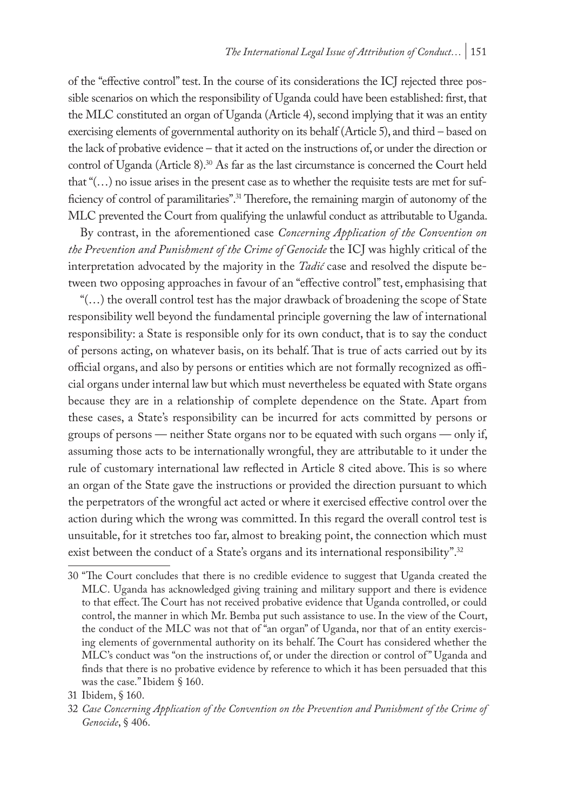of the "effective control" test. In the course of its considerations the ICJ rejected three possible scenarios on which the responsibility of Uganda could have been established: first, that the MLC constituted an organ of Uganda (Article 4), second implying that it was an entity exercising elements of governmental authority on its behalf (Article 5), and third – based on the lack of probative evidence – that it acted on the instructions of, or under the direction or control of Uganda (Article 8).30 As far as the last circumstance is concerned the Court held that "(…) no issue arises in the present case as to whether the requisite tests are met for sufficiency of control of paramilitaries".<sup>31</sup> Therefore, the remaining margin of autonomy of the MLC prevented the Court from qualifying the unlawful conduct as attributable to Uganda.

By contrast, in the aforementioned case *Concerning Application of the Convention on the Prevention and Punishment of the Crime of Genocide* the ICJ was highly critical of the interpretation advocated by the majority in the *Tadić* case and resolved the dispute between two opposing approaches in favour of an "effective control" test, emphasising that

"(…) the overall control test has the major drawback of broadening the scope of State responsibility well beyond the fundamental principle governing the law of international responsibility: a State is responsible only for its own conduct, that is to say the conduct of persons acting, on whatever basis, on its behalf. That is true of acts carried out by its official organs, and also by persons or entities which are not formally recognized as official organs under internal law but which must nevertheless be equated with State organs because they are in a relationship of complete dependence on the State. Apart from these cases, a State's responsibility can be incurred for acts committed by persons or groups of persons — neither State organs nor to be equated with such organs — only if, assuming those acts to be internationally wrongful, they are attributable to it under the rule of customary international law reflected in Article 8 cited above. This is so where an organ of the State gave the instructions or provided the direction pursuant to which the perpetrators of the wrongful act acted or where it exercised effective control over the action during which the wrong was committed. In this regard the overall control test is unsuitable, for it stretches too far, almost to breaking point, the connection which must exist between the conduct of a State's organs and its international responsibility".<sup>32</sup>

<sup>30</sup> "The Court concludes that there is no credible evidence to suggest that Uganda created the MLC. Uganda has acknowledged giving training and military support and there is evidence to that effect. The Court has not received probative evidence that Uganda controlled, or could control, the manner in which Mr. Bemba put such assistance to use. In the view of the Court, the conduct of the MLC was not that of "an organ" of Uganda, nor that of an entity exercising elements of governmental authority on its behalf. The Court has considered whether the MLC's conduct was "on the instructions of, or under the direction or control of " Uganda and finds that there is no probative evidence by reference to which it has been persuaded that this was the case." Ibidem § 160.

<sup>31</sup> Ibidem, § 160.

<sup>32</sup> *Case Concerning Application of the Convention on the Prevention and Punishment of the Crime of Genocide*, § 406.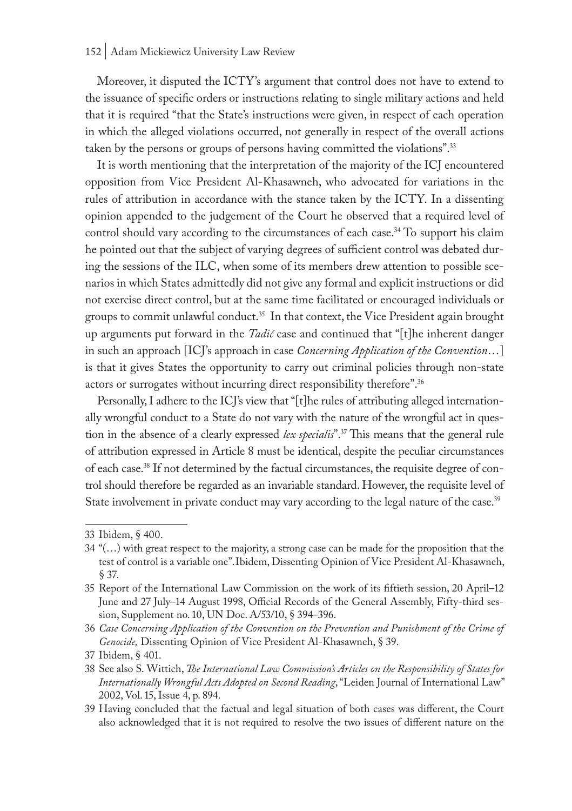Moreover, it disputed the ICTY's argument that control does not have to extend to the issuance of specific orders or instructions relating to single military actions and held that it is required "that the State's instructions were given, in respect of each operation in which the alleged violations occurred, not generally in respect of the overall actions taken by the persons or groups of persons having committed the violations".<sup>33</sup>

It is worth mentioning that the interpretation of the majority of the ICJ encountered opposition from Vice President Al-Khasawneh, who advocated for variations in the rules of attribution in accordance with the stance taken by the ICTY. In a dissenting opinion appended to the judgement of the Court he observed that a required level of control should vary according to the circumstances of each case.<sup>34</sup> To support his claim he pointed out that the subject of varying degrees of sufficient control was debated during the sessions of the ILC, when some of its members drew attention to possible scenarios in which States admittedly did not give any formal and explicit instructions or did not exercise direct control, but at the same time facilitated or encouraged individuals or groups to commit unlawful conduct.<sup>35</sup> In that context, the Vice President again brought up arguments put forward in the *Tadić* case and continued that "[t]he inherent danger in such an approach [ICJ's approach in case *Concerning Application of the Convention*…] is that it gives States the opportunity to carry out criminal policies through non-state actors or surrogates without incurring direct responsibility therefore".36

Personally, I adhere to the ICJ's view that "[t]he rules of attributing alleged internationally wrongful conduct to a State do not vary with the nature of the wrongful act in question in the absence of a clearly expressed *lex specialis*".37 This means that the general rule of attribution expressed in Article 8 must be identical, despite the peculiar circumstances of each case.38 If not determined by the factual circumstances, the requisite degree of control should therefore be regarded as an invariable standard. However, the requisite level of State involvement in private conduct may vary according to the legal nature of the case.<sup>39</sup>

<sup>33</sup> Ibidem, § 400.

<sup>34</sup> "(…) with great respect to the majority, a strong case can be made for the proposition that the test of control is a variable one".Ibidem, Dissenting Opinion of Vice President Al-Khasawneh, § 37.

<sup>35</sup> Report of the International Law Commission on the work of its fiftieth session, 20 April–12 June and 27 July–14 August 1998, Official Records of the General Assembly, Fifty-third session, Supplement no. 10, UN Doc. A/53/10, § 394–396.

<sup>36</sup> *Case Concerning Application of the Convention on the Prevention and Punishment of the Crime of Genocide,* Dissenting Opinion of Vice President Al-Khasawneh, § 39.

<sup>37</sup> Ibidem, § 401.

<sup>38</sup> See also S. Wittich, *The International Law Commission's Articles on the Responsibility of States for Internationally Wrongful Acts Adopted on Second Reading*, "Leiden Journal of International Law" 2002, Vol. 15, Issue 4, p. 894.

<sup>39</sup> Having concluded that the factual and legal situation of both cases was different, the Court also acknowledged that it is not required to resolve the two issues of different nature on the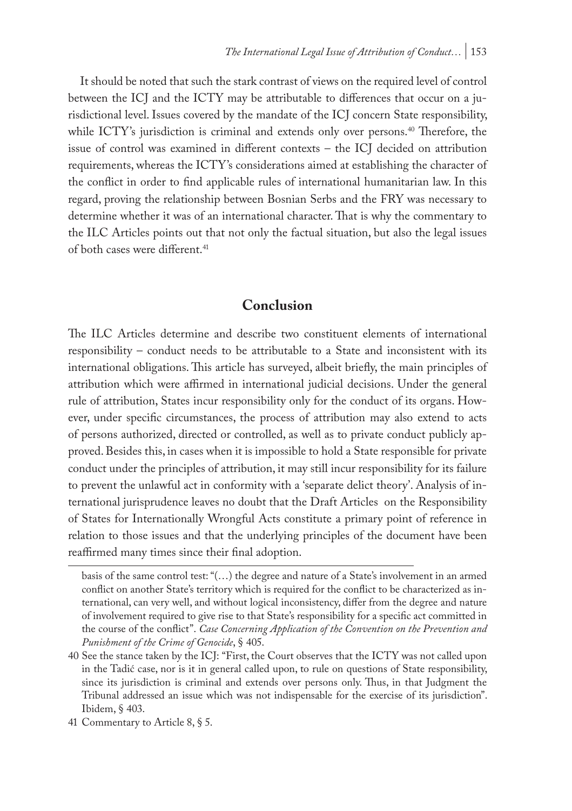It should be noted that such the stark contrast of views on the required level of control between the ICJ and the ICTY may be attributable to differences that occur on a jurisdictional level. Issues covered by the mandate of the ICJ concern State responsibility, while ICTY's jurisdiction is criminal and extends only over persons.<sup>40</sup> Therefore, the issue of control was examined in different contexts – the ICJ decided on attribution requirements, whereas the ICTY's considerations aimed at establishing the character of the conflict in order to find applicable rules of international humanitarian law. In this regard, proving the relationship between Bosnian Serbs and the FRY was necessary to determine whether it was of an international character. That is why the commentary to the ILC Articles points out that not only the factual situation, but also the legal issues of both cases were different.<sup>41</sup>

## **Conclusion**

The ILC Articles determine and describe two constituent elements of international responsibility – conduct needs to be attributable to a State and inconsistent with its international obligations. This article has surveyed, albeit briefly, the main principles of attribution which were affirmed in international judicial decisions. Under the general rule of attribution, States incur responsibility only for the conduct of its organs. However, under specific circumstances, the process of attribution may also extend to acts of persons authorized, directed or controlled, as well as to private conduct publicly approved. Besides this, in cases when it is impossible to hold a State responsible for private conduct under the principles of attribution, it may still incur responsibility for its failure to prevent the unlawful act in conformity with a 'separate delict theory'. Analysis of international jurisprudence leaves no doubt that the Draft Articles on the Responsibility of States for Internationally Wrongful Acts constitute a primary point of reference in relation to those issues and that the underlying principles of the document have been reaffirmed many times since their final adoption.

basis of the same control test: "(…) the degree and nature of a State's involvement in an armed conflict on another State's territory which is required for the conflict to be characterized as international, can very well, and without logical inconsistency, differ from the degree and nature of involvement required to give rise to that State's responsibility for a specific act committed in the course of the conflict". *Case Concerning Application of the Convention on the Prevention and Punishment of the Crime of Genocide*, § 405.

<sup>40</sup> See the stance taken by the ICJ: "First, the Court observes that the ICTY was not called upon in the Tadić case, nor is it in general called upon, to rule on questions of State responsibility, since its jurisdiction is criminal and extends over persons only. Thus, in that Judgment the Tribunal addressed an issue which was not indispensable for the exercise of its jurisdiction". Ibidem, § 403.

<sup>41</sup> Commentary to Article 8, § 5.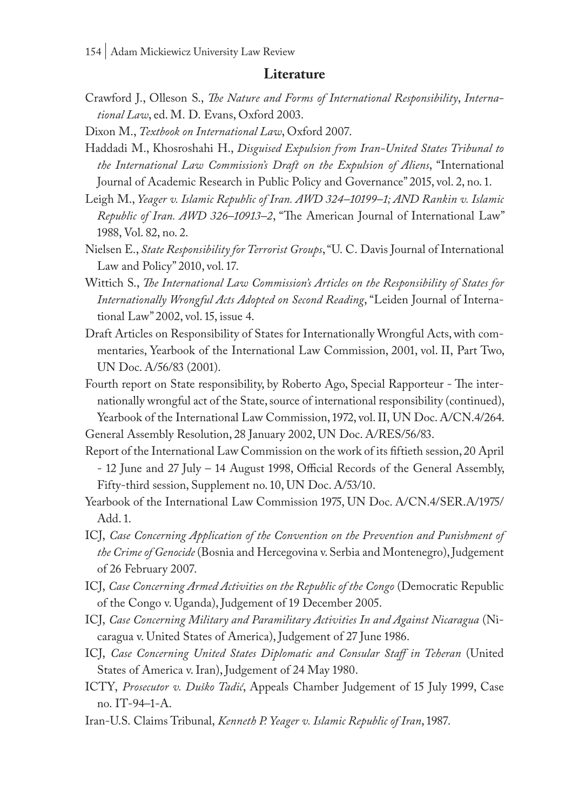#### **Literature**

- Crawford J., Olleson S., *The Nature and Forms of International Responsibility*, *International Law*, ed. M. D. Evans, Oxford 2003.
- Dixon M., *Textbook on International Law*, Oxford 2007.
- Haddadi M., Khosroshahi H., *Disguised Expulsion from Iran-United States Tribunal to the International Law Commission's Draft on the Expulsion of Aliens*, "International Journal of Academic Research in Public Policy and Governance" 2015, vol. 2, no. 1.
- Leigh M., *Yeager v. Islamic Republic of Iran. AWD 324–10199–1; AND Rankin v. Islamic Republic of Iran. AWD 326–10913–2*, "The American Journal of International Law" 1988, Vol. 82, no. 2.
- Nielsen E., *State Responsibility for Terrorist Groups*, "U. C. Davis Journal of International Law and Policy" 2010, vol. 17.
- Wittich S., *The International Law Commission's Articles on the Responsibility of States for Internationally Wrongful Acts Adopted on Second Reading*, "Leiden Journal of International Law" 2002, vol. 15, issue 4.
- Draft Articles on Responsibility of States for Internationally Wrongful Acts, with commentaries, Yearbook of the International Law Commission, 2001, vol. II, Part Two, UN Doc. A/56/83 (2001).
- Fourth report on State responsibility, by Roberto Ago, Special Rapporteur The internationally wrongful act of the State, source of international responsibility (continued), Yearbook of the International Law Commission, 1972, vol. II, UN Doc. A/CN.4/264. General Assembly Resolution, 28 January 2002, UN Doc. A/RES/56/83.
- Report of the International Law Commission on the work of its fiftieth session, 20 April - 12 June and 27 July – 14 August 1998, Official Records of the General Assembly, Fifty-third session, Supplement no. 10, UN Doc. A/53/10.
- Yearbook of the International Law Commission 1975, UN Doc. A/CN.4/SER.A/1975/ Add. 1.
- ICJ, *Case Concerning Application of the Convention on the Prevention and Punishment of the Crime of Genocide* (Bosnia and Hercegovina v. Serbia and Montenegro), Judgement of 26 February 2007.
- ICJ, *Case Concerning Armed Activities on the Republic of the Congo* (Democratic Republic of the Congo v. Uganda), Judgement of 19 December 2005.
- ICJ, *Case Concerning Military and Paramilitary Activities In and Against Nicaragua* (Nicaragua v. United States of America), Judgement of 27 June 1986.
- ICJ, *Case Concerning United States Diplomatic and Consular Staff in Teheran* (United States of America v. Iran), Judgement of 24 May 1980.
- ICTY, *Prosecutor v. Duško Tadić*, Appeals Chamber Judgement of 15 July 1999, Case no. IT-94–1-A.
- Iran-U.S. Claims Tribunal, *Kenneth P. Yeager v. Islamic Republic of Iran*, 1987.